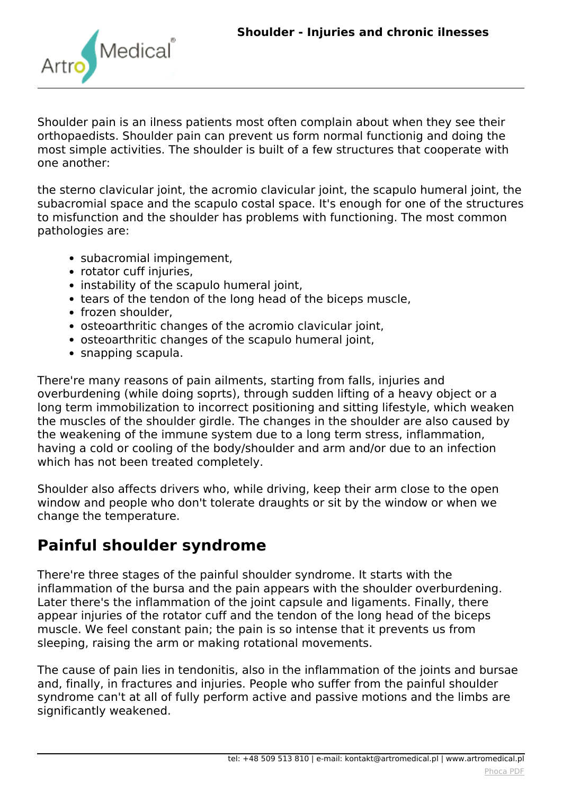

*Shoulder pain is an ilness patients most often complain about when they see their orthopaedists. Shoulder pain can prevent us form normal functionig and doing the most simple activities. The shoulder is built of a few structures that cooperate with one another:*

*the sterno clavicular joint, the acromio clavicular joint, the scapulo humeral joint, the subacromial space and the scapulo costal space. It's enough for one of the structures to misfunction and the shoulder has problems with functioning. The most common pathologies are:*

- *subacromial impingement,*
- *rotator cuff injuries,*
- *instability of the scapulo humeral joint,*
- *tears of the tendon of the long head of the biceps muscle,*
- *frozen shoulder,*
- *osteoarthritic changes of the acromio clavicular joint,*
- *osteoarthritic changes of the scapulo humeral joint,*
- *snapping scapula.*

*There're many reasons of pain ailments, starting from falls, injuries and overburdening (while doing soprts), through sudden lifting of a heavy object or a long term immobilization to incorrect positioning and sitting lifestyle, which weaken the muscles of the shoulder girdle. The changes in the shoulder are also caused by the weakening of the immune system due to a long term stress, inflammation, having a cold or cooling of the body/shoulder and arm and/or due to an infection which has not been treated completely.*

*Shoulder also affects drivers who, while driving, keep their arm close to the open window and people who don't tolerate draughts or sit by the window or when we change the temperature.*

# **Painful shoulder syndrome**

*There're three stages of the painful shoulder syndrome. It starts with the inflammation of the bursa and the pain appears with the shoulder overburdening. Later there's the inflammation of the joint capsule and ligaments. Finally, there appear injuries of the rotator cuff and the tendon of the long head of the biceps muscle. We feel constant pain; the pain is so intense that it prevents us from sleeping, raising the arm or making rotational movements.*

*The cause of pain lies in tendonitis, also in the inflammation of the joints and bursae and, finally, in fractures and injuries. People who suffer from the painful shoulder syndrome can't at all of fully perform active and passive motions and the limbs are significantly weakened.*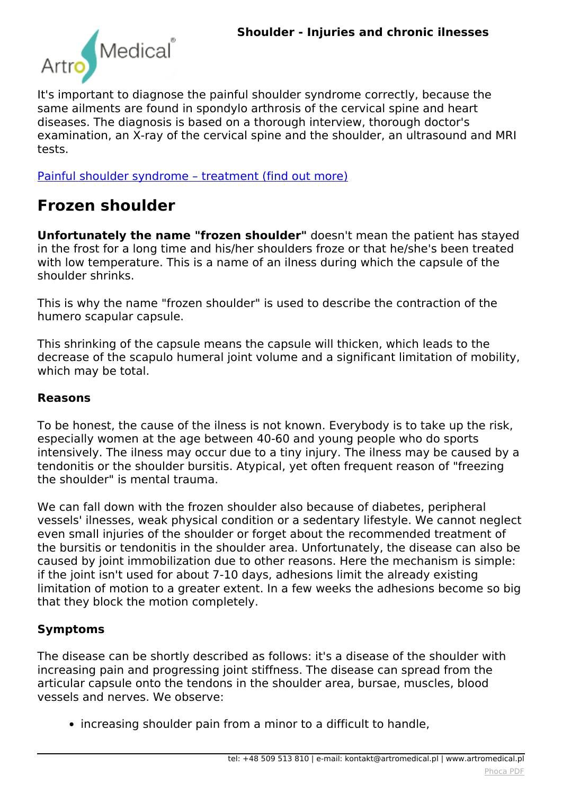

*It's important to diagnose the painful shoulder syndrome correctly, because the same ailments are found in spondylo arthrosis of the cervical spine and heart diseases. The diagnosis is based on a thorough interview, thorough doctor's examination, an X-ray of the cervical spine and the shoulder, an ultrasound and MRI tests.*

*[Painful shoulder syndrome – treatment \(find out more\)](index.php?option=com_content&view=article&id=149:shoulder-treatment&catid=9:articles&Itemid=361#painful)*

# **Frozen shoulder**

**Unfortunately the name "frozen shoulder"** *doesn't mean the patient has stayed in the frost for a long time and his/her shoulders froze or that he/she's been treated with low temperature. This is a name of an ilness during which the capsule of the shoulder shrinks.*

*This is why the name "frozen shoulder" is used to describe the contraction of the humero scapular capsule.*

*This shrinking of the capsule means the capsule will thicken, which leads to the decrease of the scapulo humeral joint volume and a significant limitation of mobility, which may be total.*

#### **Reasons**

*To be honest, the cause of the ilness is not known. Everybody is to take up the risk, especially women at the age between 40-60 and young people who do sports intensively. The ilness may occur due to a tiny injury. The ilness may be caused by a tendonitis or the shoulder bursitis. Atypical, yet often frequent reason of "freezing the shoulder" is mental trauma.*

*We can fall down with the frozen shoulder also because of diabetes, peripheral vessels' ilnesses, weak physical condition or a sedentary lifestyle. We cannot neglect even small injuries of the shoulder or forget about the recommended treatment of the bursitis or tendonitis in the shoulder area. Unfortunately, the disease can also be caused by joint immobilization due to other reasons. Here the mechanism is simple: if the joint isn't used for about 7-10 days, adhesions limit the already existing limitation of motion to a greater extent. In a few weeks the adhesions become so big that they block the motion completely.*

#### **Symptoms**

*The disease can be shortly described as follows: it's a disease of the shoulder with increasing pain and progressing joint stiffness. The disease can spread from the articular capsule onto the tendons in the shoulder area, bursae, muscles, blood vessels and nerves. We observe:*

*increasing shoulder pain from a minor to a difficult to handle,*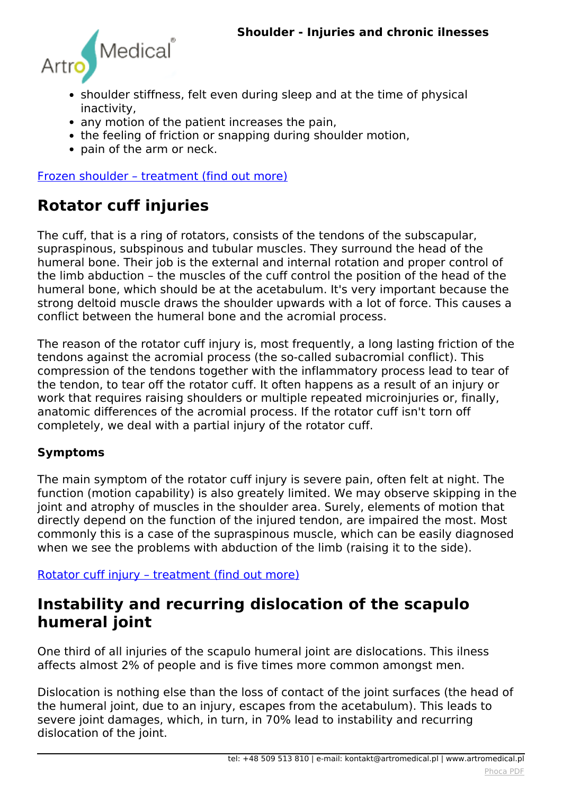

- *shoulder stiffness, felt even during sleep and at the time of physical inactivity,*
- *any motion of the patient increases the pain,*
- *the feeling of friction or snapping during shoulder motion,*
- *pain of the arm or neck.*

*[Frozen shoulder – treatment \(find out more\)](index.php?option=com_content&view=article&id=149:shoulder-treatment&catid=9:articles&Itemid=361#frozen)*

# **Rotator cuff injuries**

*The cuff, that is a ring of rotators, consists of the tendons of the subscapular, supraspinous, subspinous and tubular muscles. They surround the head of the humeral bone. Their job is the external and internal rotation and proper control of the limb abduction – the muscles of the cuff control the position of the head of the humeral bone, which should be at the acetabulum. It's very important because the strong deltoid muscle draws the shoulder upwards with a lot of force. This causes a conflict between the humeral bone and the acromial process.*

*The reason of the rotator cuff injury is, most frequently, a long lasting friction of the tendons against the acromial process (the so-called subacromial conflict). This compression of the tendons together with the inflammatory process lead to tear of the tendon, to tear off the rotator cuff. It often happens as a result of an injury or work that requires raising shoulders or multiple repeated microinjuries or, finally, anatomic differences of the acromial process. If the rotator cuff isn't torn off completely, we deal with a partial injury of the rotator cuff.*

#### **Symptoms**

*The main symptom of the rotator cuff injury is severe pain, often felt at night. The function (motion capability) is also greately limited. We may observe skipping in the joint and atrophy of muscles in the shoulder area. Surely, elements of motion that directly depend on the function of the injured tendon, are impaired the most. Most commonly this is a case of the supraspinous muscle, which can be easily diagnosed when we see the problems with abduction of the limb (raising it to the side).*

*[Rotator cuff injury – treatment \(find out more\)](index.php?option=com_content&view=article&id=149:shoulder-treatment&catid=9:articles&Itemid=361#rotator)*

### **Instability and recurring dislocation of the scapulo humeral joint**

*One third of all injuries of the scapulo humeral joint are dislocations. This ilness affects almost 2% of people and is five times more common amongst men.*

*Dislocation is nothing else than the loss of contact of the joint surfaces (the head of the humeral joint, due to an injury, escapes from the acetabulum). This leads to severe joint damages, which, in turn, in 70% lead to instability and recurring dislocation of the joint.*